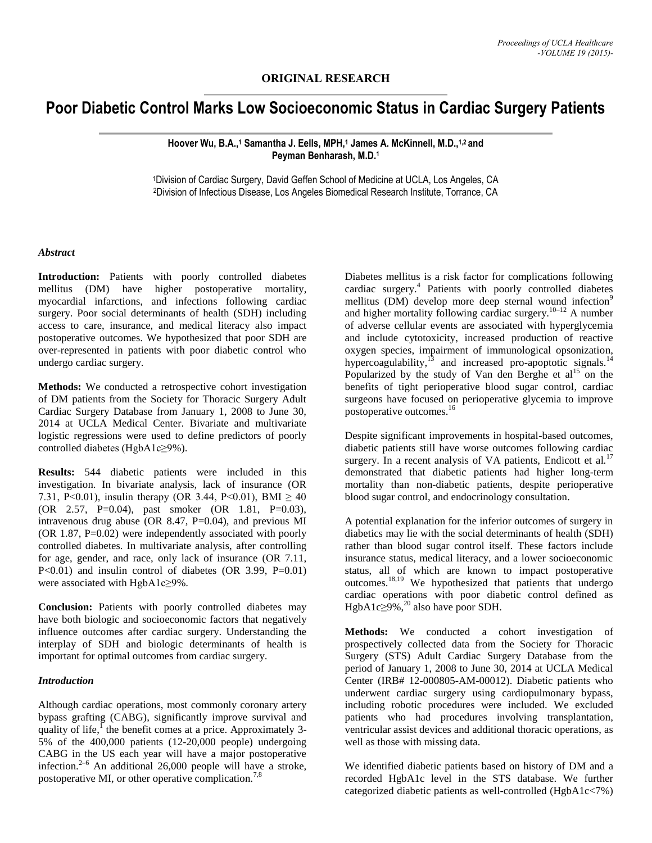**ORIGINAL RESEARCH**

# **Poor Diabetic Control Marks Low Socioeconomic Status in Cardiac Surgery Patients**

**Hoover Wu, B.A., <sup>1</sup> Samantha J. Eells, MPH, <sup>1</sup> James A. McKinnell, M.D., 1,2 and Peyman Benharash, M.D. 1**

<sup>1</sup>Division of Cardiac Surgery, David Geffen School of Medicine at UCLA, Los Angeles, CA <sup>2</sup>Division of Infectious Disease, Los Angeles Biomedical Research Institute, Torrance, CA

#### *Abstract*

**Introduction:** Patients with poorly controlled diabetes mellitus (DM) have higher postoperative mortality, myocardial infarctions, and infections following cardiac surgery. Poor social determinants of health (SDH) including access to care, insurance, and medical literacy also impact postoperative outcomes. We hypothesized that poor SDH are over-represented in patients with poor diabetic control who undergo cardiac surgery.

**Methods:** We conducted a retrospective cohort investigation of DM patients from the Society for Thoracic Surgery Adult Cardiac Surgery Database from January 1, 2008 to June 30, 2014 at UCLA Medical Center. Bivariate and multivariate logistic regressions were used to define predictors of poorly controlled diabetes (HgbA1c≥9%).

**Results:** 544 diabetic patients were included in this investigation. In bivariate analysis, lack of insurance (OR 7.31, P<0.01), insulin therapy (OR 3.44, P<0.01), BMI  $\geq 40$ (OR 2.57, P=0.04), past smoker (OR 1.81, P=0.03), intravenous drug abuse (OR 8.47, P=0.04), and previous MI (OR 1.87, P=0.02) were independently associated with poorly controlled diabetes. In multivariate analysis, after controlling for age, gender, and race, only lack of insurance (OR 7.11, P<0.01) and insulin control of diabetes (OR 3.99, P=0.01) were associated with HgbA1c≥9%.

**Conclusion:** Patients with poorly controlled diabetes may have both biologic and socioeconomic factors that negatively influence outcomes after cardiac surgery. Understanding the interplay of SDH and biologic determinants of health is important for optimal outcomes from cardiac surgery.

## *Introduction*

Although cardiac operations, most commonly coronary artery bypass grafting (CABG), significantly improve survival and quality of life,<sup>1</sup> the benefit comes at a price. Approximately 3-5% of the 400,000 patients (12-20,000 people) undergoing CABG in the US each year will have a major postoperative infection. $2-6$  An additional 26,000 people will have a stroke, postoperative MI, or other operative complication.<sup>7,8</sup>

Diabetes mellitus is a risk factor for complications following cardiac surgery.<sup>4</sup> Patients with poorly controlled diabetes mellitus  $(DM)$  develop more deep sternal wound infection<sup>9</sup> and higher mortality following cardiac surgery.<sup>10–12</sup> A number of adverse cellular events are associated with hyperglycemia and include cytotoxicity, increased production of reactive oxygen species, impairment of immunological opsonization, hypercoagulability, $^{13}$  and increased pro-apoptotic signals.<sup>14</sup> Popularized by the study of Van den Berghe et  $al<sup>15</sup>$  on the benefits of tight perioperative blood sugar control, cardiac surgeons have focused on perioperative glycemia to improve postoperative outcomes. 16

Despite significant improvements in hospital-based outcomes, diabetic patients still have worse outcomes following cardiac surgery. In a recent analysis of VA patients, Endicott et al.<sup>17</sup> demonstrated that diabetic patients had higher long-term mortality than non-diabetic patients, despite perioperative blood sugar control, and endocrinology consultation.

A potential explanation for the inferior outcomes of surgery in diabetics may lie with the social determinants of health (SDH) rather than blood sugar control itself. These factors include insurance status, medical literacy, and a lower socioeconomic status, all of which are known to impact postoperative outcomes.18,19 We hypothesized that patients that undergo cardiac operations with poor diabetic control defined as HgbA1c $\geq$ 9%,<sup>20</sup> also have poor SDH.

**Methods:** We conducted a cohort investigation of prospectively collected data from the Society for Thoracic Surgery (STS) Adult Cardiac Surgery Database from the period of January 1, 2008 to June 30, 2014 at UCLA Medical Center (IRB# 12-000805-AM-00012). Diabetic patients who underwent cardiac surgery using cardiopulmonary bypass, including robotic procedures were included. We excluded patients who had procedures involving transplantation, ventricular assist devices and additional thoracic operations, as well as those with missing data.

We identified diabetic patients based on history of DM and a recorded HgbA1c level in the STS database. We further categorized diabetic patients as well-controlled (HgbA1c<7%)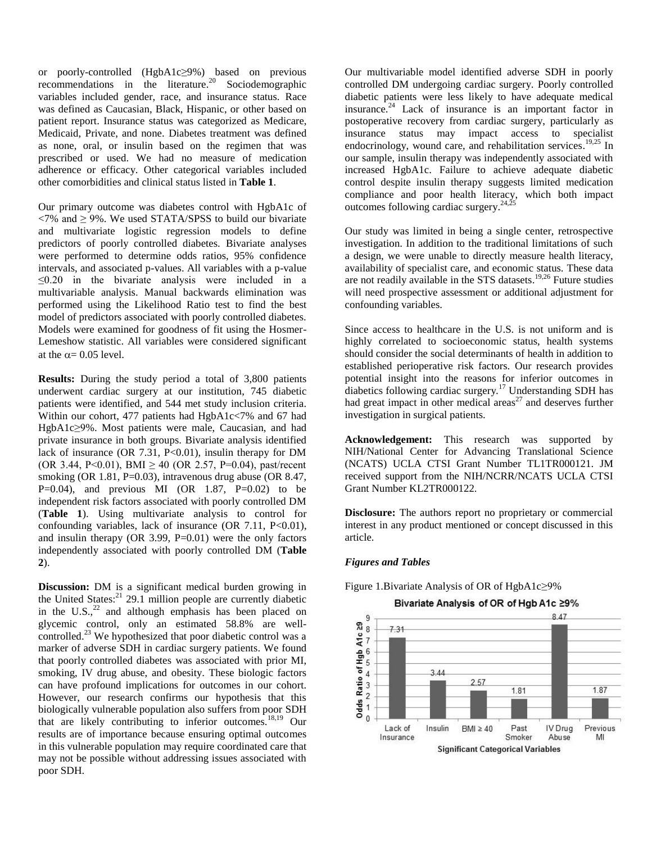or poorly-controlled (HgbA1c≥9%) based on previous recommendations in the literature. <sup>20</sup> Sociodemographic variables included gender, race, and insurance status. Race was defined as Caucasian, Black, Hispanic, or other based on patient report. Insurance status was categorized as Medicare, Medicaid, Private, and none. Diabetes treatment was defined as none, oral, or insulin based on the regimen that was prescribed or used. We had no measure of medication adherence or efficacy. Other categorical variables included other comorbidities and clinical status listed in **Table 1**.

Our primary outcome was diabetes control with HgbA1c of  $\langle 7\% \text{ and } 29\% \rangle$ . We used STATA/SPSS to build our bivariate and multivariate logistic regression models to define predictors of poorly controlled diabetes. Bivariate analyses were performed to determine odds ratios, 95% confidence intervals, and associated p-values. All variables with a p-value ≤0.20 in the bivariate analysis were included in a multivariable analysis. Manual backwards elimination was performed using the Likelihood Ratio test to find the best model of predictors associated with poorly controlled diabetes. Models were examined for goodness of fit using the Hosmer-Lemeshow statistic. All variables were considered significant at the  $\alpha$  = 0.05 level.

**Results:** During the study period a total of 3,800 patients underwent cardiac surgery at our institution, 745 diabetic patients were identified, and 544 met study inclusion criteria. Within our cohort, 477 patients had HgbA1c<7% and 67 had HgbA1c≥9%. Most patients were male, Caucasian, and had private insurance in both groups. Bivariate analysis identified lack of insurance (OR 7.31,  $P<0.01$ ), insulin therapy for DM (OR 3.44, P<0.01), BMI  $\geq$  40 (OR 2.57, P=0.04), past/recent smoking (OR 1.81, P=0.03), intravenous drug abuse (OR 8.47, P=0.04), and previous MI (OR 1.87, P=0.02) to be independent risk factors associated with poorly controlled DM (**Table 1**). Using multivariate analysis to control for confounding variables, lack of insurance  $(OR 7.11, P<0.01)$ , and insulin therapy  $(OR\ 3.99, P=0.01)$  were the only factors independently associated with poorly controlled DM (**Table 2**).

**Discussion:** DM is a significant medical burden growing in the United States: <sup>21</sup> 29.1 million people are currently diabetic in the  $U.S.,<sup>22</sup>$  and although emphasis has been placed on glycemic control, only an estimated 58.8% are wellcontrolled. $^{23}$  We hypothesized that poor diabetic control was a marker of adverse SDH in cardiac surgery patients. We found that poorly controlled diabetes was associated with prior MI, smoking, IV drug abuse, and obesity. These biologic factors can have profound implications for outcomes in our cohort. However, our research confirms our hypothesis that this biologically vulnerable population also suffers from poor SDH that are likely contributing to inferior outcomes.18,19 Our results are of importance because ensuring optimal outcomes in this vulnerable population may require coordinated care that may not be possible without addressing issues associated with poor SDH.

Our multivariable model identified adverse SDH in poorly controlled DM undergoing cardiac surgery. Poorly controlled diabetic patients were less likely to have adequate medical insurance. $24$  Lack of insurance is an important factor in postoperative recovery from cardiac surgery, particularly as insurance status may impact access to specialist endocrinology, wound care, and rehabilitation services.<sup>19,25</sup> In our sample, insulin therapy was independently associated with increased HgbA1c. Failure to achieve adequate diabetic control despite insulin therapy suggests limited medication compliance and poor health literacy, which both impact outcomes following cardiac surgery. $^{24,25}$ 

Our study was limited in being a single center, retrospective investigation. In addition to the traditional limitations of such a design, we were unable to directly measure health literacy, availability of specialist care, and economic status. These data are not readily available in the STS datasets. 19,26 Future studies will need prospective assessment or additional adjustment for confounding variables.

Since access to healthcare in the U.S. is not uniform and is highly correlated to socioeconomic status, health systems should consider the social determinants of health in addition to established perioperative risk factors. Our research provides potential insight into the reasons for inferior outcomes in diabetics following cardiac surgery*.* <sup>17</sup> Understanding SDH has had great impact in other medical areas<sup>27</sup> and deserves further investigation in surgical patients.

**Acknowledgement:** This research was supported by NIH/National Center for Advancing Translational Science (NCATS) UCLA CTSI Grant Number TL1TR000121. JM received support from the NIH/NCRR/NCATS UCLA CTSI Grant Number KL2TR000122.

**Disclosure:** The authors report no proprietary or commercial interest in any product mentioned or concept discussed in this article.

### *Figures and Tables*

Figure 1.Bivariate Analysis of OR of HgbA1c≥9%

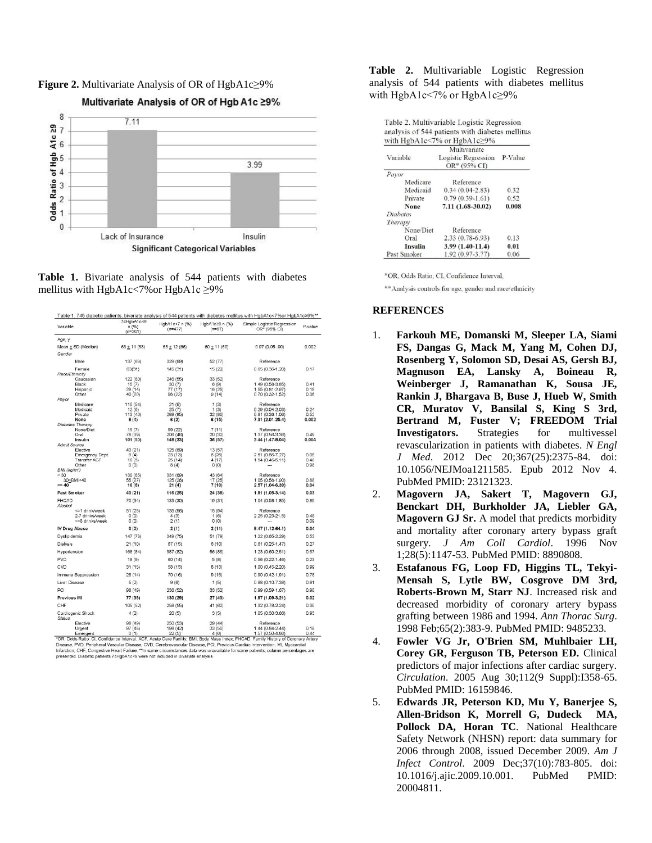

**Figure 2.** Multivariate Analysis of OR of HgbA1c≥9%

**Table 1.** Bivariate analysis of 544 patients with diabetes mellitus with HgbA1c<7%or HgbA1c ≥9%

| Table 1. 745 diabetic patients, bivariate analysis of 544 patients with diabetes mellitus with HgbA1c<7%or HgbA1c≥9%**<br>7sHgbA1c<9                                           |                     |                             |                            |                                            |              |  |
|--------------------------------------------------------------------------------------------------------------------------------------------------------------------------------|---------------------|-----------------------------|----------------------------|--------------------------------------------|--------------|--|
| Variable                                                                                                                                                                       | n (%)<br>$(n=201)$  | HabA1c<7 n (%)<br>$(n=477)$ | HabA1c≥9 n (%)<br>$(n=67)$ | Simple Logistic Regression<br>OR* (95% CI) | P-value      |  |
| Age, y                                                                                                                                                                         |                     |                             |                            |                                            |              |  |
| Mean + SD (Median)                                                                                                                                                             | $63 + 11(63)$       | $65 + 12(66)$               | $60 + 11(60)$              | $0.97(0.95-99)$                            | 0.002        |  |
| Gender                                                                                                                                                                         |                     |                             |                            |                                            |              |  |
| Male                                                                                                                                                                           | 137 (68)            | 329 (69)                    | 52 (77)                    | Reference                                  |              |  |
| Female                                                                                                                                                                         | 63(31)              | 145 (31)                    | 15 (22)                    | $0.65(0.36-1.20)$                          | 0.17         |  |
| Race/Ethnicity                                                                                                                                                                 |                     |                             |                            |                                            |              |  |
| Caucasian                                                                                                                                                                      | 122 (60)            | 246 (55)                    | 33 (52)                    | Reference                                  |              |  |
| Black                                                                                                                                                                          | 15(7)               | 30(7)                       | 6(9)<br>16 (25)            | 1.49 (0.58-3.85)<br>1.55 (0.81-2.97)       | 0.41<br>0.19 |  |
| Hispanic<br>Other                                                                                                                                                              | 29(14)<br>40 (20)   | 77 (17)<br>96 (22)          | 9(14)                      | $0.70(0.32 - 1.52)$                        | 0.36         |  |
| Payor                                                                                                                                                                          |                     |                             |                            |                                            |              |  |
| Medicare                                                                                                                                                                       | 110 (54)            | 21(6)                       | 1(3)                       | Reference                                  |              |  |
| Medicaid                                                                                                                                                                       | 12(6)               | 25(7)                       | 1(3)                       | $0.29(0.04-2.03)$                          | 0.24         |  |
| Private                                                                                                                                                                        | 113 (46)            | 289 (85)                    | 32 (80)                    | $0.81(0.36 - 1.06)$                        | 0.52         |  |
| None                                                                                                                                                                           | 8(4)                | 6(2)                        | 6(15)                      | 7.31 (2.01-25.4)                           | 0.002        |  |
| Diabetes Therapy                                                                                                                                                               |                     |                             |                            |                                            |              |  |
| None/Diet<br>Oral                                                                                                                                                              | 15(7)<br>78 (39)    | 99 (22)<br>206 (46)         | 7(11)                      | Reference<br>1.37 (0.56-3.36)              | 0.49         |  |
| Insulin                                                                                                                                                                        | 101 (50)            | 148 (33)                    | 20 (32)<br>36 (57)         | 3.44 (1.47-8.04)                           | 0.004        |  |
| <b>Admit Source</b>                                                                                                                                                            |                     |                             |                            |                                            |              |  |
| Elective                                                                                                                                                                       | 43 (21)             | 125 (69)                    | 13(57)                     | Reference                                  |              |  |
| <b>Emergency Dept.</b>                                                                                                                                                         | 9(4)                | 23(13)                      | 6(26)                      | 2.51 (0.86-7.27)                           | 0.09         |  |
| <b>Transfer ACF</b>                                                                                                                                                            | 10(5)               | 25(14)                      | 4(17)                      | $1.54(0.46-5.11)$                          | 0.48         |  |
| Other                                                                                                                                                                          | 0(0)                | 8(4)                        | 0(0)                       |                                            | 0.98         |  |
| BMI (kg/m <sup>-</sup> )                                                                                                                                                       |                     |                             |                            |                                            |              |  |
| < 30<br>30 <bmi<40< td=""><td>130 (65)<br/>55 (27)</td><td>331 (69)<br/>125 (26)</td><td>43 (64)<br/>17(25)</td><td>Reference<br/>1.05 (0.58-1.90)</td><td>0.88</td></bmi<40<> | 130 (65)<br>55 (27) | 331 (69)<br>125 (26)        | 43 (64)<br>17(25)          | Reference<br>1.05 (0.58-1.90)              | 0.88         |  |
| $>= 40$                                                                                                                                                                        | 16(8)               | 21(4)                       | 7(10)                      | 2.57 (1.04-6.39)                           | 0.04         |  |
| Past Smoker                                                                                                                                                                    | 43 (21)             | 116 (25)                    | 24 (38)                    | 1.81 (1.05-3.14)                           | 0.03         |  |
| <b>FHCAD</b>                                                                                                                                                                   | 70 (34)             | 133 (30)                    | 19 (31)                    | $1.04(0.58-1.85)$                          | 0.89         |  |
| Alcohol                                                                                                                                                                        |                     |                             |                            |                                            |              |  |
| <= 1 drink/week                                                                                                                                                                | 51 (25)             | 135 (96)                    | 15(94)                     | Reference                                  |              |  |
| 2-7 drinks/week                                                                                                                                                                | 0(0)                | 4(3)                        | 1(6)                       | $2.25(0.23-21.5)$                          | 0.48         |  |
| >=8 drinks/week                                                                                                                                                                | O(0)                | 2(1)                        | 0(0)                       |                                            | 0.09         |  |
| <b>IV Drug Abuse</b>                                                                                                                                                           | 0(0)                | 2(1)                        | 2(11)                      | 8.47 (1.12-64.1)                           | 0.04         |  |
| Dyslipidemia                                                                                                                                                                   | 147 (73)            | 349 (75)                    | 51 (79)                    | 1.22 (0.65-2.29)                           | 0.53         |  |
| Dialysis                                                                                                                                                                       | 21(10)              | 67(15)                      | 6(10)                      | $0.61(0.25 - 1.47)$                        | 0.27         |  |
| Hypertension                                                                                                                                                                   | 168 (84)            | 387 (82)                    | 56 (85)                    | 1.23 (0.60-2.51)                           | 0.57         |  |
| <b>PVD</b>                                                                                                                                                                     | 18(9)               | 60 (14)                     | 5(8)                       | $0.56(0.22 - 1.46)$                        | 0.23         |  |
| CVD                                                                                                                                                                            | 31(15)              | 58 (13)                     | 8(13)                      | 1.00 (0.45-2.20)                           | 0.99         |  |
| Immune Suppression                                                                                                                                                             | 28(14)              | 70 (16)                     | 9(15)                      | $0.90(0.42 - 1.91)$                        | 0.78         |  |
| Liver Disease                                                                                                                                                                  | 5(2)                | 9(6)                        | 1(5)                       | $0.88(0.10-7.38)$                          | 0.91         |  |
| PCI                                                                                                                                                                            | 98 (49)             | 236 (52)                    | 33 (52)                    | $0.99(0.59 - 1.67)$                        | 0.98         |  |
| Previous MI                                                                                                                                                                    | 77 (38)             | 130 (29)                    | 27(43)                     | 1.87 (1.09-3.21)                           | 0.02         |  |
| CHF                                                                                                                                                                            | 105 (52)            | 258 (55)                    | 41 (62)                    | 1.32 (0.78-2.24)                           | 0.30         |  |
| Cardiogenic Shock<br>Status                                                                                                                                                    | 4(2)                | 20(5)                       | 3(5)                       | 1.05 (0.30-3.66)                           | 0.93         |  |
| Elective                                                                                                                                                                       | 98 (49)             | 250 (53)                    | 29(44)                     | Reference                                  |              |  |
| Urgent                                                                                                                                                                         | 97(48)              | 198 (42)                    | 33 (50)                    | $1.44(0.84-2.44)$                          | 0.18<br>0.44 |  |
| Emergent<br>*OR, Odds Ratio, CI, Confidence Interval, ACF, Acute Care Facility, BMI, Body Mass Index, FHCAD, Family History of Coronary Artery                                 | 3(1)                | 22(5)                       | 4(6)                       | 1.57 (0.50-4.86)                           |              |  |

Unity ours hadio, i.e., commente mentwar, ACP, Route Cate Facility, EWI, Body Wass Trues, PHOM, Farmly History of Countriers Price Discussions of the Discussion of Discussion of Discussion of Discussion of Discussion of Di presented. Diabetic patients 7sHgbA1c<9 were not included in bivariate analysis.

**Table 2.** Multivariable Logistic Regression analysis of 544 patients with diabetes mellitus with HgbA1c<7% or HgbA1c≥9%

| Table 2. Multivariable Logistic Regression      |
|-------------------------------------------------|
| analysis of 544 patients with diabetes mellitus |
| with $HgbA1c<7%$ or $HgbA1c>9%$                 |
| Multivariate                                    |

| Variable        | Multivariate<br><b>Logistic Regression</b><br>$OR* (95% CI)$ | P-Value |  |  |  |  |
|-----------------|--------------------------------------------------------------|---------|--|--|--|--|
| Pavor           |                                                              |         |  |  |  |  |
| Medicare        | Reference                                                    |         |  |  |  |  |
| Medicaid        | $0.34(0.04 - 2.83)$                                          | 0.32    |  |  |  |  |
| Private         | $0.79(0.39-1.61)$                                            | 0.52    |  |  |  |  |
| None            | $7.11(1.68-30.02)$                                           | 0.008   |  |  |  |  |
| <b>Diabetes</b> |                                                              |         |  |  |  |  |
| Therapy         |                                                              |         |  |  |  |  |
| None/Diet       | Reference                                                    |         |  |  |  |  |
| Oral            | $2.33(0.78-6.93)$                                            | 0.13    |  |  |  |  |
| Insulin         | 3.99 (1.40-11.4)                                             | 0.01    |  |  |  |  |
| Past Smoker     | 1.92 (0.97-3.77)                                             | 0.06    |  |  |  |  |

\*OR, Odds Ratio, CI, Confidence Interval,

\*\* Analysis controls for age, gender and race/ethnicity

### **REFERENCES**

- 1. **Farkouh ME, Domanski M, Sleeper LA, Siami FS, Dangas G, Mack M, Yang M, Cohen DJ, Rosenberg Y, Solomon SD, Desai AS, Gersh BJ, Magnuson EA, Lansky A, Boineau R, Weinberger J, Ramanathan K, Sousa JE, Rankin J, Bhargava B, Buse J, Hueb W, Smith CR, Muratov V, Bansilal S, King S 3rd, Bertrand M, Fuster V; FREEDOM Trial Investigators.** Strategies for multivessel revascularization in patients with diabetes. *N Engl J Med*. 2012 Dec 20;367(25):2375-84. doi: 10.1056/NEJMoa1211585. Epub 2012 Nov 4. PubMed PMID: 23121323.
- 2. **Magovern JA, Sakert T, Magovern GJ, Benckart DH, Burkholder JA, Liebler GA, Magovern GJ Sr.** A model that predicts morbidity and mortality after coronary artery bypass graft surgery. *J Am Coll Cardiol*. 1996 Nov 1;28(5):1147-53. PubMed PMID: 8890808.
- 3. **Estafanous FG, Loop FD, Higgins TL, Tekyi-Mensah S, Lytle BW, Cosgrove DM 3rd, Roberts-Brown M, Starr NJ**. Increased risk and decreased morbidity of coronary artery bypass grafting between 1986 and 1994. *Ann Thorac Surg*. 1998 Feb;65(2):383-9. PubMed PMID: 9485233.
- 4. **Fowler VG Jr, O'Brien SM, Muhlbaier LH, Corey GR, Ferguson TB, Peterson ED.** Clinical predictors of major infections after cardiac surgery. *Circulation*. 2005 Aug 30;112(9 Suppl):I358-65. PubMed PMID: 16159846.
- 5. **Edwards JR, Peterson KD, Mu Y, Banerjee S, Allen-Bridson K, Morrell G, Dudeck MA, Pollock DA, Horan TC**. National Healthcare Safety Network (NHSN) report: data summary for 2006 through 2008, issued December 2009. *Am J Infect Control*. 2009 Dec;37(10):783-805. doi: 10.1016/j.ajic.2009.10.001. PubMed PMID: 20004811.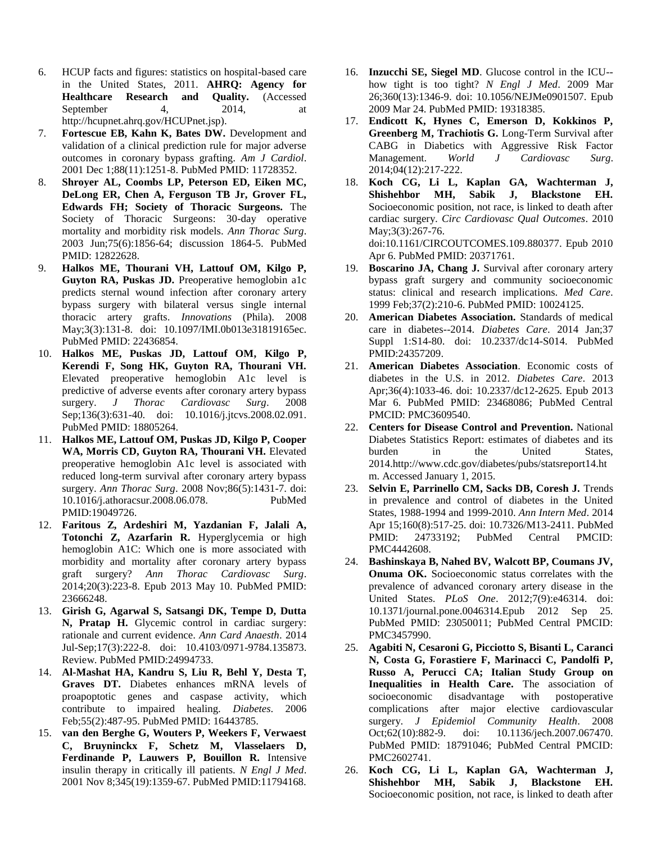- 6. HCUP facts and figures: statistics on hospital-based care in the United States, 2011. **AHRQ: Agency for Healthcare Research and Quality.** (Accessed September 4, 2014, at http://hcupnet.ahrq.gov/HCUPnet.jsp).
- 7. **Fortescue EB, Kahn K, Bates DW.** Development and validation of a clinical prediction rule for major adverse outcomes in coronary bypass grafting. *Am J Cardiol*. 2001 Dec 1;88(11):1251-8. PubMed PMID: 11728352.
- 8. **Shroyer AL, Coombs LP, Peterson ED, Eiken MC, DeLong ER, Chen A, Ferguson TB Jr, Grover FL, Edwards FH; Society of Thoracic Surgeons.** The Society of Thoracic Surgeons: 30-day operative mortality and morbidity risk models. *Ann Thorac Surg*. 2003 Jun;75(6):1856-64; discussion 1864-5. PubMed PMID: 12822628.
- 9. **Halkos ME, Thourani VH, Lattouf OM, Kilgo P, Guyton RA, Puskas JD.** Preoperative hemoglobin a1c predicts sternal wound infection after coronary artery bypass surgery with bilateral versus single internal thoracic artery grafts. *Innovations* (Phila). 2008 May;3(3):131-8. doi: 10.1097/IMI.0b013e31819165ec. PubMed PMID: 22436854.
- 10. **Halkos ME, Puskas JD, Lattouf OM, Kilgo P, Kerendi F, Song HK, Guyton RA, Thourani VH.** Elevated preoperative hemoglobin A1c level is predictive of adverse events after coronary artery bypass surgery. *J Thorac Cardiovasc Surg*. 2008 Sep;136(3):631-40. doi: 10.1016/j.jtcvs.2008.02.091. PubMed PMID: 18805264.
- 11. **Halkos ME, Lattouf OM, Puskas JD, Kilgo P, Cooper WA, Morris CD, Guyton RA, Thourani VH.** Elevated preoperative hemoglobin A1c level is associated with reduced long-term survival after coronary artery bypass surgery. *Ann Thorac Surg*. 2008 Nov;86(5):1431-7. doi: 10.1016/j.athoracsur.2008.06.078. PubMed PMID:19049726.
- 12. **Faritous Z, Ardeshiri M, Yazdanian F, Jalali A, Totonchi Z, Azarfarin R.** Hyperglycemia or high hemoglobin A1C: Which one is more associated with morbidity and mortality after coronary artery bypass graft surgery? *Ann Thorac Cardiovasc Surg*. 2014;20(3):223-8. Epub 2013 May 10. PubMed PMID: 23666248.
- 13. **Girish G, Agarwal S, Satsangi DK, Tempe D, Dutta N, Pratap H.** Glycemic control in cardiac surgery: rationale and current evidence. *Ann Card Anaesth*. 2014 Jul-Sep;17(3):222-8. doi: 10.4103/0971-9784.135873. Review. PubMed PMID:24994733.
- 14. **Al-Mashat HA, Kandru S, Liu R, Behl Y, Desta T, Graves DT.** Diabetes enhances mRNA levels of proapoptotic genes and caspase activity, which contribute to impaired healing. *Diabetes*. 2006 Feb;55(2):487-95. PubMed PMID: 16443785.
- 15. **van den Berghe G, Wouters P, Weekers F, Verwaest C, Bruyninckx F, Schetz M, Vlasselaers D, Ferdinande P, Lauwers P, Bouillon R.** Intensive insulin therapy in critically ill patients. *N Engl J Med*. 2001 Nov 8;345(19):1359-67. PubMed PMID:11794168.
- 16. **Inzucchi SE, Siegel MD**. Glucose control in the ICU- how tight is too tight? *N Engl J Med*. 2009 Mar 26;360(13):1346-9. doi: 10.1056/NEJMe0901507. Epub 2009 Mar 24. PubMed PMID: 19318385.
- 17. **Endicott K, Hynes C, Emerson D, Kokkinos P, Greenberg M, Trachiotis G.** Long-Term Survival after CABG in Diabetics with Aggressive Risk Factor Management. *World J Cardiovasc Surg*. 2014;04(12):217-222.
- 18. **Koch CG, Li L, Kaplan GA, Wachterman J, Shishehbor MH, Sabik J, Blackstone EH.** Socioeconomic position, not race, is linked to death after cardiac surgery. *Circ Cardiovasc Qual Outcomes*. 2010 May;3(3):267-76. doi:10.1161/CIRCOUTCOMES.109.880377. Epub 2010 Apr 6. PubMed PMID: 20371761.
- 19. **Boscarino JA, Chang J.** Survival after coronary artery bypass graft surgery and community socioeconomic status: clinical and research implications. *Med Care*. 1999 Feb;37(2):210-6. PubMed PMID: 10024125.
- 20. **American Diabetes Association.** Standards of medical care in diabetes--2014. *Diabetes Care*. 2014 Jan;37 Suppl 1:S14-80. doi: 10.2337/dc14-S014. PubMed PMID:24357209.
- 21. **American Diabetes Association**. Economic costs of diabetes in the U.S. in 2012. *Diabetes Care*. 2013 Apr;36(4):1033-46. doi: 10.2337/dc12-2625. Epub 2013 Mar 6. PubMed PMID: 23468086; PubMed Central PMCID: PMC3609540.
- 22. **Centers for Disease Control and Prevention.** National Diabetes Statistics Report: estimates of diabetes and its burden in the United States, 2014.http://www.cdc.gov/diabetes/pubs/statsreport14.ht m. Accessed January 1, 2015.
- 23. **Selvin E, Parrinello CM, Sacks DB, Coresh J.** Trends in prevalence and control of diabetes in the United States, 1988-1994 and 1999-2010. *Ann Intern Med*. 2014 Apr 15;160(8):517-25. doi: 10.7326/M13-2411. PubMed PMID: 24733192; PubMed Central PMCID: PMC4442608.
- 24. **Bashinskaya B, Nahed BV, Walcott BP, Coumans JV, Onuma OK.** Socioeconomic status correlates with the prevalence of advanced coronary artery disease in the United States. *PLoS One*. 2012;7(9):e46314. doi: 10.1371/journal.pone.0046314.Epub 2012 Sep 25. PubMed PMID: 23050011; PubMed Central PMCID: PMC3457990.
- 25. **Agabiti N, Cesaroni G, Picciotto S, Bisanti L, Caranci N, Costa G, Forastiere F, Marinacci C, Pandolfi P, Russo A, Perucci CA; Italian Study Group on Inequalities in Health Care.** The association of socioeconomic disadvantage with postoperative complications after major elective cardiovascular surgery. *J Epidemiol Community Health*. 2008 Oct;62(10):882-9. doi: 10.1136/jech.2007.067470. PubMed PMID: 18791046; PubMed Central PMCID: PMC2602741.
- 26. **Koch CG, Li L, Kaplan GA, Wachterman J, Shishehbor MH, Sabik J, Blackstone EH.** Socioeconomic position, not race, is linked to death after